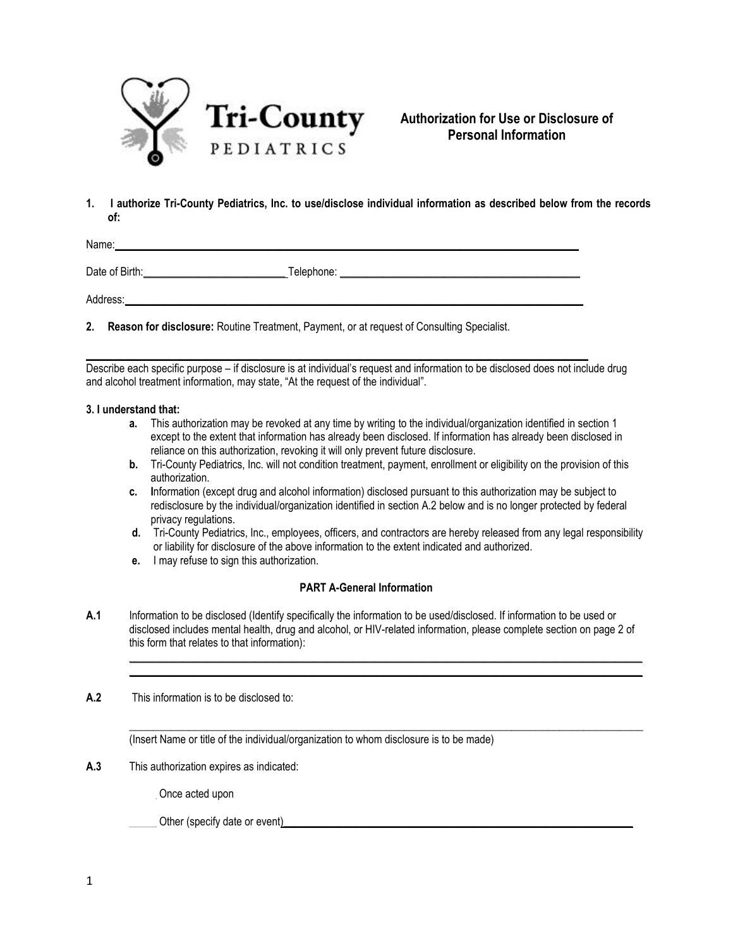

**Authorization for Use or Disclosure of Personal Information**

**1. I authorize Tri-County Pediatrics, Inc. to use/disclose individual information as described below from the records of:** 

Name:

Date of Birth:\_\_\_\_\_\_\_\_\_\_\_\_\_\_\_\_\_\_\_\_\_\_\_\_\_\_ Telephone: \_\_\_\_\_\_\_\_\_\_\_\_\_\_\_\_\_\_\_\_\_\_\_\_\_\_\_\_\_\_\_\_\_\_\_\_\_\_\_\_\_\_\_\_

Address:

**2. Reason for disclosure:** Routine Treatment, Payment, or at request of Consulting Specialist.

Describe each specific purpose – if disclosure is at individual's request and information to be disclosed does not include drug and alcohol treatment information, may state, "At the request of the individual".

 $\_$  ,  $\_$  ,  $\_$  ,  $\_$  ,  $\_$  ,  $\_$  ,  $\_$  ,  $\_$  ,  $\_$  ,  $\_$  ,  $\_$  ,  $\_$  ,  $\_$  ,  $\_$  ,  $\_$  ,  $\_$  ,  $\_$  ,  $\_$  ,  $\_$ 

#### **3. I understand that:**

- **a.** This authorization may be revoked at any time by writing to the individual/organization identified in section 1 except to the extent that information has already been disclosed. If information has already been disclosed in reliance on this authorization, revoking it will only prevent future disclosure.
- **b.** Tri-County Pediatrics, Inc. will not condition treatment, payment, enrollment or eligibility on the provision of this authorization.
- **c. I**nformation (except drug and alcohol information) disclosed pursuant to this authorization may be subject to redisclosure by the individual/organization identified in section A.2 below and is no longer protected by federal privacy regulations.
- **d.** Tri-County Pediatrics, Inc., employees, officers, and contractors are hereby released from any legal responsibility or liability for disclosure of the above information to the extent indicated and authorized.

 $\_$  ,  $\_$  ,  $\_$  ,  $\_$  ,  $\_$  ,  $\_$  ,  $\_$  ,  $\_$  ,  $\_$  ,  $\_$  ,  $\_$  ,  $\_$  ,  $\_$  ,  $\_$  ,  $\_$  ,  $\_$  ,  $\_$  ,  $\_$  ,  $\_$  $\_$  ,  $\_$  ,  $\_$  ,  $\_$  ,  $\_$  ,  $\_$  ,  $\_$  ,  $\_$  ,  $\_$  ,  $\_$  ,  $\_$  ,  $\_$  ,  $\_$  ,  $\_$  ,  $\_$  ,  $\_$  ,  $\_$  ,  $\_$  ,  $\_$ 

\_\_\_\_\_\_\_\_\_\_\_\_\_\_\_\_\_\_\_\_\_\_\_\_\_\_\_\_\_\_\_\_\_\_\_\_\_\_\_\_\_\_\_\_\_\_\_\_\_\_\_\_\_\_\_\_\_\_\_\_\_\_\_\_\_\_\_\_\_\_\_\_\_\_\_\_\_\_\_\_\_\_\_\_\_\_

**e.** I may refuse to sign this authorization.

# **PART A-General Information**

- **A.1** Information to be disclosed (Identify specifically the information to be used/disclosed. If information to be used or disclosed includes mental health, drug and alcohol, or HIV-related information, please complete section on page 2 of this form that relates to that information):
- **A.2** This information is to be disclosed to:

(Insert Name or title of the individual/organization to whom disclosure is to be made)

**A.3** This authorization expires as indicated:

Once acted upon

Other (specify date or event)<br>
and the state of event) and the state of event  $\sum_{n=1}^{\infty}$  and the state of events of the state of the state of the state of the state of the state of the state of the state of the state o